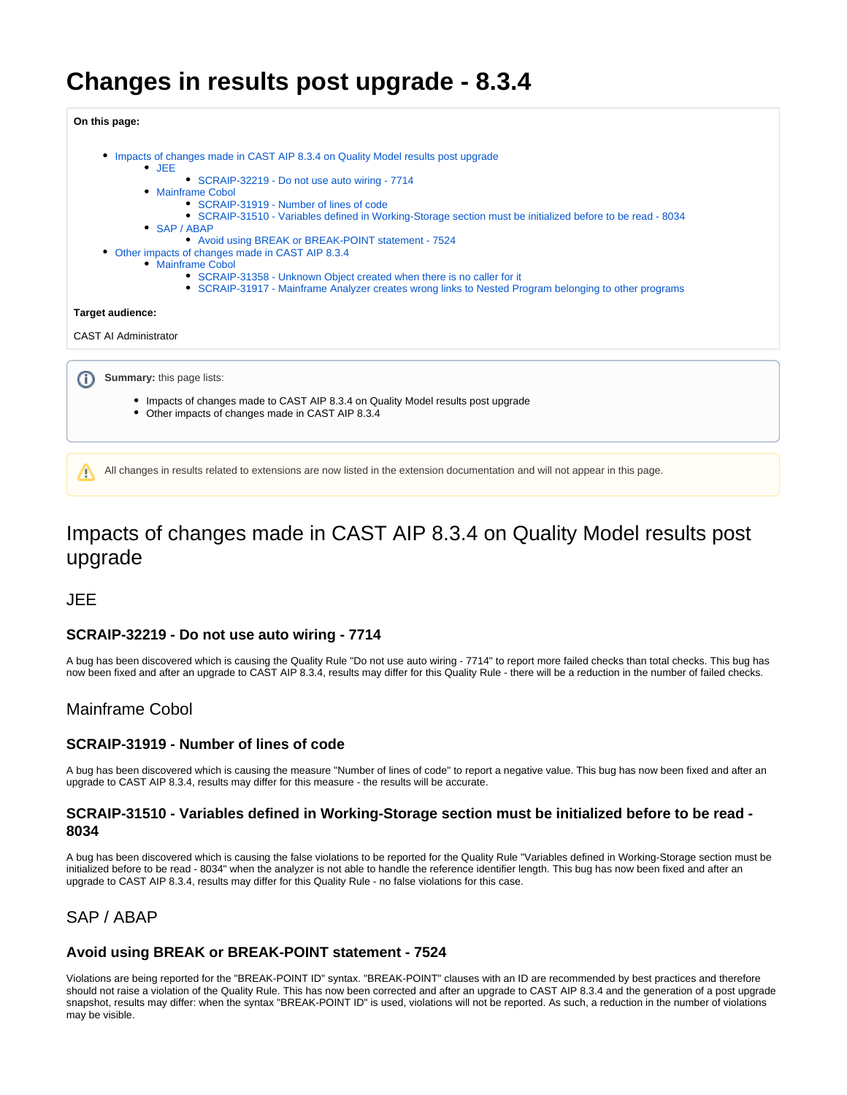# **Changes in results post upgrade - 8.3.4**



## <span id="page-0-0"></span>Impacts of changes made in CAST AIP 8.3.4 on Quality Model results post upgrade

<span id="page-0-1"></span>JEE

## <span id="page-0-2"></span>**SCRAIP-32219 - Do not use auto wiring - 7714**

A bug has been discovered which is causing the Quality Rule "Do not use auto wiring - 7714" to report more failed checks than total checks. This bug has now been fixed and after an upgrade to CAST AIP 8.3.4, results may differ for this Quality Rule - there will be a reduction in the number of failed checks.

## <span id="page-0-3"></span>Mainframe Cobol

#### <span id="page-0-4"></span>**SCRAIP-31919 - Number of lines of code**

A bug has been discovered which is causing the measure "Number of lines of code" to report a negative value. This bug has now been fixed and after an upgrade to CAST AIP 8.3.4, results may differ for this measure - the results will be accurate.

#### <span id="page-0-5"></span>**SCRAIP-31510 - Variables defined in Working-Storage section must be initialized before to be read - 8034**

A bug has been discovered which is causing the false violations to be reported for the Quality Rule "Variables defined in Working-Storage section must be initialized before to be read - 8034" when the analyzer is not able to handle the reference identifier length. This bug has now been fixed and after an upgrade to CAST AIP 8.3.4, results may differ for this Quality Rule - no false violations for this case.

## <span id="page-0-6"></span>SAP / ABAP

#### <span id="page-0-7"></span>**Avoid using BREAK or BREAK-POINT statement - 7524**

<span id="page-0-8"></span>Violations are being reported for the "BREAK-POINT ID" syntax. "BREAK-POINT" clauses with an ID are recommended by best practices and therefore should not raise a violation of the Quality Rule. This has now been corrected and after an upgrade to CAST AIP 8.3.4 and the generation of a post upgrade snapshot, results may differ: when the syntax "BREAK-POINT ID" is used, violations will not be reported. As such, a reduction in the number of violations may be visible.